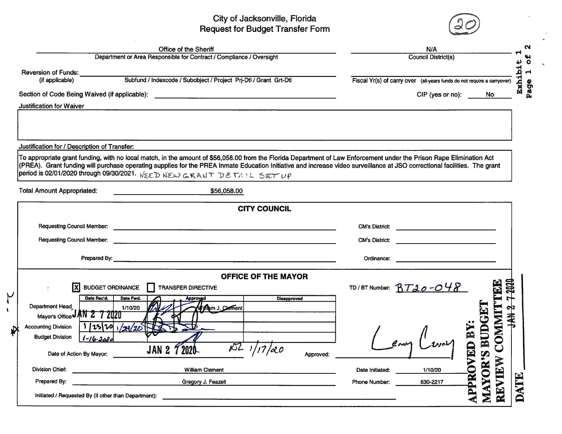## City of Jacksonville, Florida<br>
Request for Budget Transfer Form  $\bigcirc$



|                                              | Office of the Sheriff                                                                                                                                                                                                                | N/A                                                                     |                                                                                                                                                                                                                                      |                  |  |  |
|----------------------------------------------|--------------------------------------------------------------------------------------------------------------------------------------------------------------------------------------------------------------------------------------|-------------------------------------------------------------------------|--------------------------------------------------------------------------------------------------------------------------------------------------------------------------------------------------------------------------------------|------------------|--|--|
|                                              | Department or Area Responsible for Contract / Compliance / Oversight                                                                                                                                                                 | <b>Council District(s)</b>                                              |                                                                                                                                                                                                                                      |                  |  |  |
| Reversion of Funds:                          |                                                                                                                                                                                                                                      |                                                                         |                                                                                                                                                                                                                                      |                  |  |  |
| (if applicable)                              | Subfund / Indexcode / Subobject / Project Prj-Dtl / Grant Grt-Dtl                                                                                                                                                                    | Fiscal Yr(s) of carry over (all-years funds do not require a carryover) |                                                                                                                                                                                                                                      |                  |  |  |
|                                              | Section of Code Being Waived (if applicable): ___________________________________                                                                                                                                                    |                                                                         | CIP (yes or no):<br>No.                                                                                                                                                                                                              | Exhil            |  |  |
| <b>Justification for Waiver</b>              |                                                                                                                                                                                                                                      |                                                                         |                                                                                                                                                                                                                                      |                  |  |  |
|                                              |                                                                                                                                                                                                                                      |                                                                         |                                                                                                                                                                                                                                      |                  |  |  |
|                                              |                                                                                                                                                                                                                                      |                                                                         |                                                                                                                                                                                                                                      |                  |  |  |
| Justification for / Description of Transfer: |                                                                                                                                                                                                                                      |                                                                         |                                                                                                                                                                                                                                      |                  |  |  |
|                                              | To appropriate grant funding, with no local match, in the amount of \$56,058.00 from the Florida Department of Law Enforcement under the Prison Rape Elimination Act                                                                 |                                                                         |                                                                                                                                                                                                                                      |                  |  |  |
|                                              | (PREA). Grant funding will purchase operating supplies for the PREA Inmate Education Initiative and increase video surveillance at JSO correctional facilities. The grant                                                            |                                                                         |                                                                                                                                                                                                                                      |                  |  |  |
|                                              | period is 02/01/2020 through 09/30/2021. $NSED$ NEW GRANT DETAIL SET UP                                                                                                                                                              |                                                                         |                                                                                                                                                                                                                                      |                  |  |  |
| <b>Total Amount Appropriated:</b>            | \$56,058.00                                                                                                                                                                                                                          |                                                                         |                                                                                                                                                                                                                                      |                  |  |  |
|                                              |                                                                                                                                                                                                                                      |                                                                         |                                                                                                                                                                                                                                      |                  |  |  |
|                                              | <b>CITY COUNCIL</b>                                                                                                                                                                                                                  |                                                                         |                                                                                                                                                                                                                                      |                  |  |  |
|                                              | Requesting Council Member: <u>contract and contract and contract and contract and contract and contract and contract and contract and contract and contract and contract and contract and contract and contract and contract and</u> |                                                                         |                                                                                                                                                                                                                                      |                  |  |  |
|                                              |                                                                                                                                                                                                                                      |                                                                         |                                                                                                                                                                                                                                      |                  |  |  |
|                                              |                                                                                                                                                                                                                                      | <b>CM's District:</b>                                                   | <u>and the company of the company of the company of the company of the company of the company of the company of the company of the company of the company of the company of the company of the company of the company of the com</u> |                  |  |  |
|                                              |                                                                                                                                                                                                                                      | Ordinance:                                                              | <u> Andreas Andreas Andreas Andreas Andreas Andreas Andreas Andreas Andreas Andreas Andreas Andreas Andreas Andreas</u>                                                                                                              |                  |  |  |
|                                              |                                                                                                                                                                                                                                      |                                                                         |                                                                                                                                                                                                                                      |                  |  |  |
| Ixl                                          | <b>OFFICE OF THE MAYOR</b><br><b>BUDGET ORDINANCE</b><br>TRANSFER DIRECTIVE                                                                                                                                                          |                                                                         |                                                                                                                                                                                                                                      |                  |  |  |
| Date Rec'd.                                  | Date Fwd.<br><b>Disapproved</b><br>Approved                                                                                                                                                                                          | TD/BT Number: $BTd0 - O48$                                              |                                                                                                                                                                                                                                      | <b>OCOC-L</b>    |  |  |
| Department Head                              | William J. Clement<br>1/10/20                                                                                                                                                                                                        |                                                                         |                                                                                                                                                                                                                                      |                  |  |  |
| Mayor's Office JAN 2 7 2020                  |                                                                                                                                                                                                                                      |                                                                         | <b>OMMIT</b>                                                                                                                                                                                                                         | JAN <sub>2</sub> |  |  |
| <b>Accounting Division</b>                   | 11231201/21/20                                                                                                                                                                                                                       |                                                                         |                                                                                                                                                                                                                                      |                  |  |  |
| <b>Budget Division</b><br>$1 - 16 - 3030$    |                                                                                                                                                                                                                                      |                                                                         |                                                                                                                                                                                                                                      |                  |  |  |
|                                              | DZ.<br>17/20<br><b>JAN 27</b><br>2020<br>Approved:                                                                                                                                                                                   |                                                                         | Ō                                                                                                                                                                                                                                    |                  |  |  |
|                                              |                                                                                                                                                                                                                                      |                                                                         |                                                                                                                                                                                                                                      |                  |  |  |
| Date of Action By Mayor:                     |                                                                                                                                                                                                                                      |                                                                         |                                                                                                                                                                                                                                      |                  |  |  |
| <b>Division Chief:</b><br>Prepared By:       | <b>William Clement</b><br>Gregory J. Feazell                                                                                                                                                                                         | Date Initiated:<br>Phone Number:                                        | MAYOR'S BUDGET<br><b>APPROVED BY</b><br>REVIEW<br>1/10/20<br>630-2217                                                                                                                                                                | ATE              |  |  |

<u>ب</u>

 $\mathbf{L}$